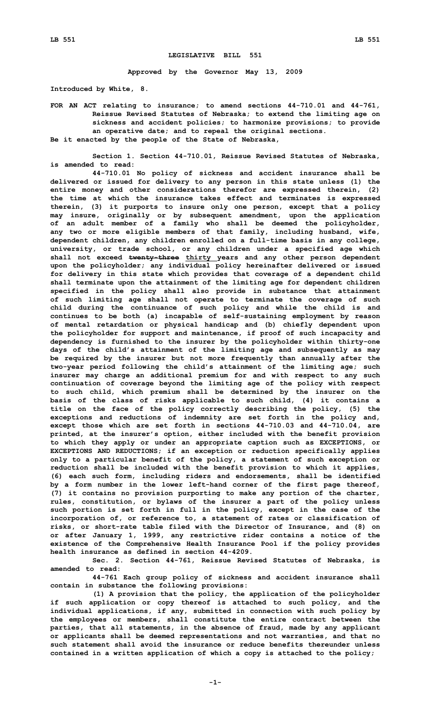## **LEGISLATIVE BILL 551**

**Approved by the Governor May 13, 2009**

**Introduced by White, 8.**

**FOR AN ACT relating to insurance; to amend sections 44-710.01 and 44-761, Reissue Revised Statutes of Nebraska; to extend the limiting age on sickness and accident policies; to harmonize provisions; to provide an operative date; and to repeal the original sections. Be it enacted by the people of the State of Nebraska,**

**Section 1. Section 44-710.01, Reissue Revised Statutes of Nebraska, is amended to read:**

**44-710.01 No policy of sickness and accident insurance shall be delivered or issued for delivery to any person in this state unless (1) the entire money and other considerations therefor are expressed therein, (2) the time at which the insurance takes effect and terminates is expressed therein, (3) it purports to insure only one person, except that <sup>a</sup> policy may insure, originally or by subsequent amendment, upon the application of an adult member of <sup>a</sup> family who shall be deemed the policyholder, any two or more eligible members of that family, including husband, wife, dependent children, any children enrolled on <sup>a</sup> full-time basis in any college, university, or trade school, or any children under <sup>a</sup> specified age which shall not exceed twenty-three thirty years and any other person dependent upon the policyholder; any individual policy hereinafter delivered or issued for delivery in this state which provides that coverage of <sup>a</sup> dependent child shall terminate upon the attainment of the limiting age for dependent children specified in the policy shall also provide in substance that attainment of such limiting age shall not operate to terminate the coverage of such child during the continuance of such policy and while the child is and continues to be both (a) incapable of self-sustaining employment by reason of mental retardation or physical handicap and (b) chiefly dependent upon the policyholder for support and maintenance, if proof of such incapacity and dependency is furnished to the insurer by the policyholder within thirty-one days of the child's attainment of the limiting age and subsequently as may be required by the insurer but not more frequently than annually after the two-year period following the child's attainment of the limiting age; such insurer may charge an additional premium for and with respect to any such continuation of coverage beyond the limiting age of the policy with respect to such child, which premium shall be determined by the insurer on the basis of the class of risks applicable to such child, (4) it contains <sup>a</sup> title on the face of the policy correctly describing the policy, (5) the exceptions and reductions of indemnity are set forth in the policy and, except those which are set forth in sections 44-710.03 and 44-710.04, are printed, at the insurer's option, either included with the benefit provision to which they apply or under an appropriate caption such as EXCEPTIONS, or EXCEPTIONS AND REDUCTIONS; if an exception or reduction specifically applies only to <sup>a</sup> particular benefit of the policy, <sup>a</sup> statement of such exception or reduction shall be included with the benefit provision to which it applies, (6) each such form, including riders and endorsements, shall be identified by <sup>a</sup> form number in the lower left-hand corner of the first page thereof, (7) it contains no provision purporting to make any portion of the charter, rules, constitution, or bylaws of the insurer <sup>a</sup> part of the policy unless such portion is set forth in full in the policy, except in the case of the incorporation of, or reference to, <sup>a</sup> statement of rates or classification of risks, or short-rate table filed with the Director of Insurance, and (8) on or after January 1, 1999, any restrictive rider contains <sup>a</sup> notice of the existence of the Comprehensive Health Insurance Pool if the policy provides health insurance as defined in section 44-4209.**

**Sec. 2. Section 44-761, Reissue Revised Statutes of Nebraska, is amended to read:**

**44-761 Each group policy of sickness and accident insurance shall contain in substance the following provisions:**

**(1) <sup>A</sup> provision that the policy, the application of the policyholder if such application or copy thereof is attached to such policy, and the individual applications, if any, submitted in connection with such policy by the employees or members, shall constitute the entire contract between the parties, that all statements, in the absence of fraud, made by any applicant or applicants shall be deemed representations and not warranties, and that no such statement shall avoid the insurance or reduce benefits thereunder unless contained in <sup>a</sup> written application of which <sup>a</sup> copy is attached to the policy;**